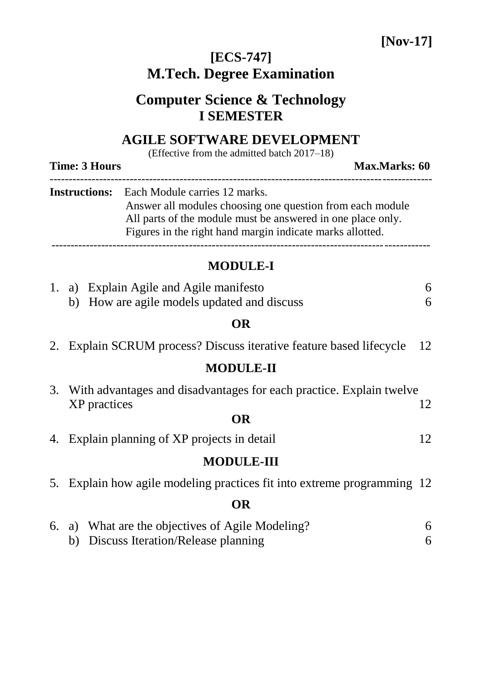## **[ECS-747] M.Tech. Degree Examination**

# **Computer Science & Technology I SEMESTER**

### **AGILE SOFTWARE DEVELOPMENT**

(Effective from the admitted batch 2017–18)

**Time: 3 Hours Max.Marks: 60** 

| <b>Instructions:</b> Each Module carries 12 marks.          |
|-------------------------------------------------------------|
| Answer all modules choosing one question from each module   |
| All parts of the module must be answered in one place only. |
| Figures in the right hand margin indicate marks allotted.   |

#### **MODULE-I**

|           | 1. a) Explain Agile and Agile manifesto                                 | 6  |  |  |  |  |  |
|-----------|-------------------------------------------------------------------------|----|--|--|--|--|--|
|           | b) How are agile models updated and discuss                             | 6  |  |  |  |  |  |
| <b>OR</b> |                                                                         |    |  |  |  |  |  |
|           | 2. Explain SCRUM process? Discuss iterative feature based lifecycle     | 12 |  |  |  |  |  |
|           | <b>MODULE-II</b>                                                        |    |  |  |  |  |  |
|           | 3. With advantages and disadvantages for each practice. Explain twelve  |    |  |  |  |  |  |
|           | XP practices                                                            | 12 |  |  |  |  |  |
|           | OR                                                                      |    |  |  |  |  |  |
|           | 4. Explain planning of XP projects in detail                            | 12 |  |  |  |  |  |
|           | <b>MODULE-III</b>                                                       |    |  |  |  |  |  |
|           | 5. Explain how agile modeling practices fit into extreme programming 12 |    |  |  |  |  |  |
|           | OR                                                                      |    |  |  |  |  |  |
|           | 6. a) What are the objectives of Agile Modeling?                        | 6  |  |  |  |  |  |
|           | b) Discuss Iteration/Release planning                                   | 6  |  |  |  |  |  |
|           |                                                                         |    |  |  |  |  |  |